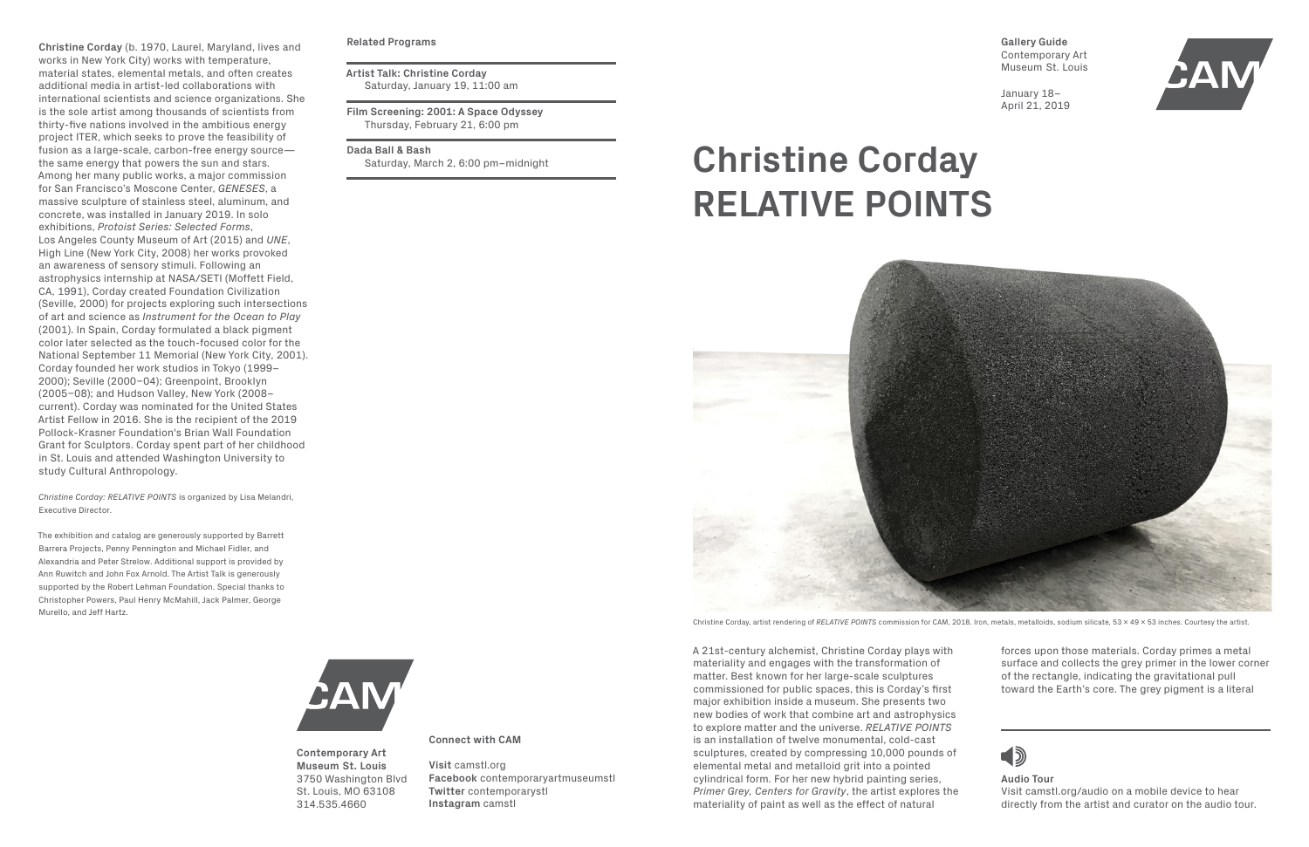A 21st-century alchemist, Christine Corday plays with materiality and engages with the transformation of matter. Best known for her large-scale sculptures commissioned for public spaces, this is Corday's first major exhibition inside a museum. She presents two new bodies of work that combine art and astrophysics to explore matter and the universe. *RELATIVE POINTS* is an installation of twelve monumental, cold-cast sculptures, created by compressing 10,000 pounds of elemental metal and metalloid grit into a pointed cylindrical form. For her new hybrid painting series, *Primer Grey, Centers for Gravity*, the artist explores the materiality of paint as well as the effect of natural



**Christine Corday** (b. 1970, Laurel, Maryland, lives and works in New York City) works with temperature, material states, elemental metals, and often creates additional media in artist-led collaborations with international scientists and science organizations. She is the sole artist among thousands of scientists from thirty-five nations involved in the ambitious energy project ITER, which seeks to prove the feasibility of fusion as a large-scale, carbon-free energy source the same energy that powers the sun and stars. Among her many public works, a major commission for San Francisco's Moscone Center, *GENESES*, a massive sculpture of stainless steel, aluminum, and concrete, was installed in January 2019. In solo exhibitions, *Protoist Series: Selected Forms*, Los Angeles County Museum of Art (2015) and *UNE*, High Line (New York City, 2008) her works provoked an awareness of sensory stimuli. Following an astrophysics internship at NASA/SETI (Moffett Field, CA, 1991), Corday created Foundation Civilization (Seville, 2000) for projects exploring such intersections of art and science as *Instrument for the Ocean to Play* (2001). In Spain, Corday formulated a black pigment color later selected as the touch-focused color for the National September 11 Memorial (New York City, 2001). Corday founded her work studios in Tokyo (1999– 2000); Seville (2000–04); Greenpoint, Brooklyn (2005–08); and Hudson Valley, New York (2008– current). Corday was nominated for the United States Artist Fellow in 2016. She is the recipient of the 2019 Pollock-Krasner Foundation's Brian Wall Foundation Grant for Sculptors. Corday spent part of her childhood in St. Louis and attended Washington University to study Cultural Anthropology.

*Christine Corday: RELATIVE POINTS* is organized by Lisa Melandri, Executive Director.

The exhibition and catalog are generously supported by Barrett Barrera Projects, Penny Pennington and Michael Fidler, and Alexandria and Peter Strelow. Additional support is provided by Ann Ruwitch and John Fox Arnold. The Artist Talk is generously supported by the Robert Lehman Foundation. Special thanks to Christopher Powers, Paul Henry McMahill, Jack Palmer, George Murello, and Jeff Hartz.

**Gallery Guide** Contemporary Art Museum St. Louis

January 18– April 21, 2019



# **Christine Corday RELATIVE POINTS**



Christine Corday, artist rendering of *RELATIVE POINTS* commission for CAM, 2018. Iron, metals, metalloids, sodium silicate, 53 x 49 x 53 inches. Courtesy the artist.

#### **Related Programs**

**Artist Talk: Christine Corday** Saturday, January 19, 11:00 am

**Film Screening: 2001: A Space Odyssey** Thursday, February 21, 6:00 pm

**Dada Ball & Bash**

Saturday, March 2, 6:00 pm–midnight

**Contemporary Art Museum St. Louis** 3750 Washington Blvd St. Louis, MO 63108 314.535.4660

**Connect with CAM**

**Visit** camstl.org **Facebook** contemporaryartmuseumstl **Twitter** contemporarystl **Instagram** camstl

**Audio Tour** Visit camstl.org/audio on a mobile device to hear directly from the artist and curator on the audio tour.

forces upon those materials. Corday primes a metal surface and collects the grey primer in the lower corner of the rectangle, indicating the gravitational pull toward the Earth's core. The grey pigment is a literal